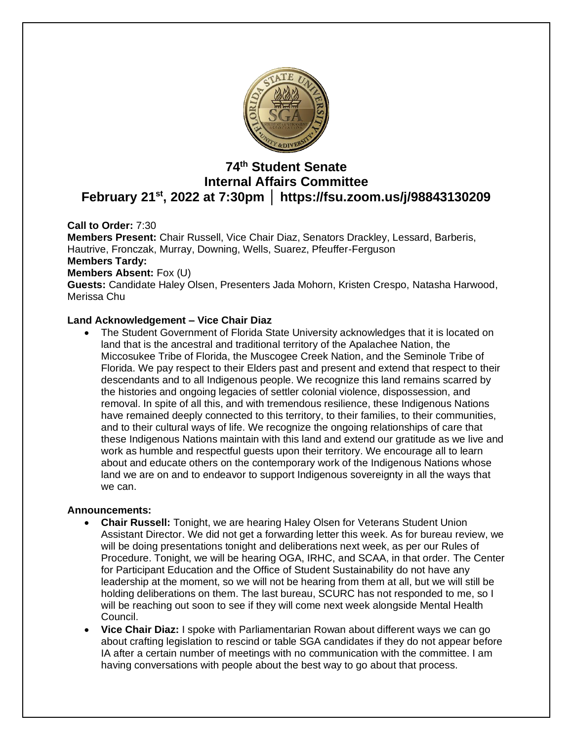

# **74 th Student Senate Internal Affairs Committee February 21st, 2022 at 7:30pm │ https://fsu.zoom.us/j/98843130209**

**Call to Order:** 7:30

**Members Present:** Chair Russell, Vice Chair Diaz, Senators Drackley, Lessard, Barberis, Hautrive, Fronczak, Murray, Downing, Wells, Suarez, Pfeuffer-Ferguson **Members Tardy: Members Absent:** Fox (U) **Guests:** Candidate Haley Olsen, Presenters Jada Mohorn, Kristen Crespo, Natasha Harwood, Merissa Chu

### **Land Acknowledgement – Vice Chair Diaz**

• The Student Government of Florida State University acknowledges that it is located on land that is the ancestral and traditional territory of the Apalachee Nation, the Miccosukee Tribe of Florida, the Muscogee Creek Nation, and the Seminole Tribe of Florida. We pay respect to their Elders past and present and extend that respect to their descendants and to all Indigenous people. We recognize this land remains scarred by the histories and ongoing legacies of settler colonial violence, dispossession, and removal. In spite of all this, and with tremendous resilience, these Indigenous Nations have remained deeply connected to this territory, to their families, to their communities, and to their cultural ways of life. We recognize the ongoing relationships of care that these Indigenous Nations maintain with this land and extend our gratitude as we live and work as humble and respectful guests upon their territory. We encourage all to learn about and educate others on the contemporary work of the Indigenous Nations whose land we are on and to endeavor to support Indigenous sovereignty in all the ways that we can.

### **Announcements:**

- **Chair Russell:** Tonight, we are hearing Haley Olsen for Veterans Student Union Assistant Director. We did not get a forwarding letter this week. As for bureau review, we will be doing presentations tonight and deliberations next week, as per our Rules of Procedure. Tonight, we will be hearing OGA, IRHC, and SCAA, in that order. The Center for Participant Education and the Office of Student Sustainability do not have any leadership at the moment, so we will not be hearing from them at all, but we will still be holding deliberations on them. The last bureau, SCURC has not responded to me, so I will be reaching out soon to see if they will come next week alongside Mental Health Council.
- **Vice Chair Diaz:** I spoke with Parliamentarian Rowan about different ways we can go about crafting legislation to rescind or table SGA candidates if they do not appear before IA after a certain number of meetings with no communication with the committee. I am having conversations with people about the best way to go about that process.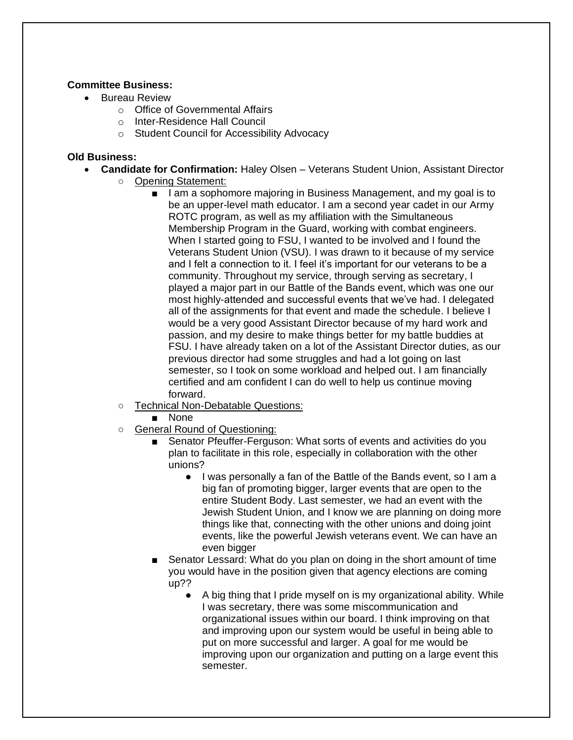### **Committee Business:**

- Bureau Review
	- o Office of Governmental Affairs
	- o Inter-Residence Hall Council
	- o Student Council for Accessibility Advocacy

#### **Old Business:**

- **Candidate for Confirmation:** Haley Olsen Veterans Student Union, Assistant Director
	- Opening Statement:
		- I am a sophomore majoring in Business Management, and my goal is to be an upper-level math educator. I am a second year cadet in our Army ROTC program, as well as my affiliation with the Simultaneous Membership Program in the Guard, working with combat engineers. When I started going to FSU, I wanted to be involved and I found the Veterans Student Union (VSU). I was drawn to it because of my service and I felt a connection to it. I feel it's important for our veterans to be a community. Throughout my service, through serving as secretary, I played a major part in our Battle of the Bands event, which was one our most highly-attended and successful events that we've had. I delegated all of the assignments for that event and made the schedule. I believe I would be a very good Assistant Director because of my hard work and passion, and my desire to make things better for my battle buddies at FSU. I have already taken on a lot of the Assistant Director duties, as our previous director had some struggles and had a lot going on last semester, so I took on some workload and helped out. I am financially certified and am confident I can do well to help us continue moving forward.
	- Technical Non-Debatable Questions:
		- None
	- General Round of Questioning:
		- Senator Pfeuffer-Ferguson: What sorts of events and activities do you plan to facilitate in this role, especially in collaboration with the other unions?
			- I was personally a fan of the Battle of the Bands event, so I am a big fan of promoting bigger, larger events that are open to the entire Student Body. Last semester, we had an event with the Jewish Student Union, and I know we are planning on doing more things like that, connecting with the other unions and doing joint events, like the powerful Jewish veterans event. We can have an even bigger
		- Senator Lessard: What do you plan on doing in the short amount of time you would have in the position given that agency elections are coming up??
			- A big thing that I pride myself on is my organizational ability. While I was secretary, there was some miscommunication and organizational issues within our board. I think improving on that and improving upon our system would be useful in being able to put on more successful and larger. A goal for me would be improving upon our organization and putting on a large event this semester.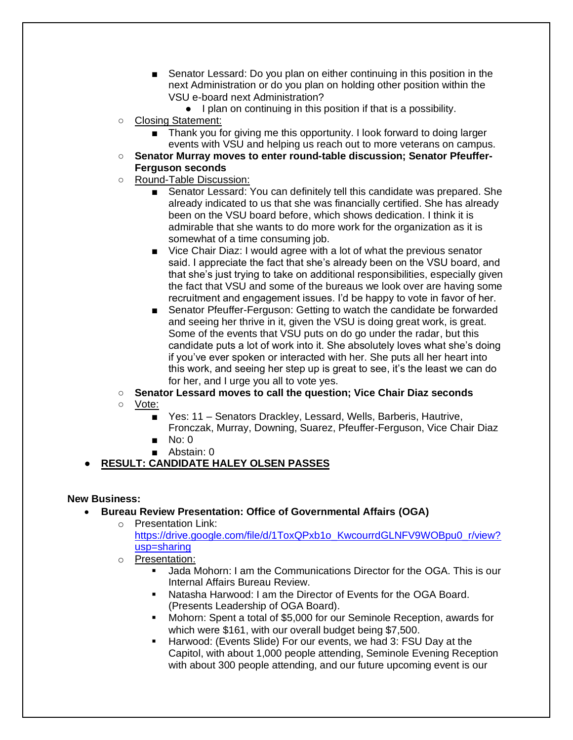- Senator Lessard: Do you plan on either continuing in this position in the next Administration or do you plan on holding other position within the VSU e-board next Administration?
	- I plan on continuing in this position if that is a possibility.
- Closing Statement:
	- Thank you for giving me this opportunity. I look forward to doing larger events with VSU and helping us reach out to more veterans on campus.
- **Senator Murray moves to enter round-table discussion; Senator Pfeuffer-Ferguson seconds**
- Round-Table Discussion:
	- Senator Lessard: You can definitely tell this candidate was prepared. She already indicated to us that she was financially certified. She has already been on the VSU board before, which shows dedication. I think it is admirable that she wants to do more work for the organization as it is somewhat of a time consuming job.
	- Vice Chair Diaz: I would agree with a lot of what the previous senator said. I appreciate the fact that she's already been on the VSU board, and that she's just trying to take on additional responsibilities, especially given the fact that VSU and some of the bureaus we look over are having some recruitment and engagement issues. I'd be happy to vote in favor of her.
	- Senator Pfeuffer-Ferguson: Getting to watch the candidate be forwarded and seeing her thrive in it, given the VSU is doing great work, is great. Some of the events that VSU puts on do go under the radar, but this candidate puts a lot of work into it. She absolutely loves what she's doing if you've ever spoken or interacted with her. She puts all her heart into this work, and seeing her step up is great to see, it's the least we can do for her, and I urge you all to vote yes.
- **Senator Lessard moves to call the question; Vice Chair Diaz seconds**
- Vote:
	- Yes: 11 Senators Drackley, Lessard, Wells, Barberis, Hautrive, Fronczak, Murray, Downing, Suarez, Pfeuffer-Ferguson, Vice Chair Diaz
	- No: 0
	- Abstain: 0

# ● **RESULT: CANDIDATE HALEY OLSEN PASSES**

## **New Business:**

- **Bureau Review Presentation: Office of Governmental Affairs (OGA)**
	- o Presentation Link: [https://drive.google.com/file/d/1ToxQPxb1o\\_KwcourrdGLNFV9WOBpu0\\_r/view?](https://drive.google.com/file/d/1ToxQPxb1o_KwcourrdGLNFV9WOBpu0_r/view?usp=sharing) [usp=sharing](https://drive.google.com/file/d/1ToxQPxb1o_KwcourrdGLNFV9WOBpu0_r/view?usp=sharing)
	- o Presentation:
		- Jada Mohorn: I am the Communications Director for the OGA. This is our Internal Affairs Bureau Review.
		- Natasha Harwood: I am the Director of Events for the OGA Board. (Presents Leadership of OGA Board).
		- Mohorn: Spent a total of \$5,000 for our Seminole Reception, awards for which were \$161, with our overall budget being \$7,500.
		- Harwood: (Events Slide) For our events, we had 3: FSU Day at the Capitol, with about 1,000 people attending, Seminole Evening Reception with about 300 people attending, and our future upcoming event is our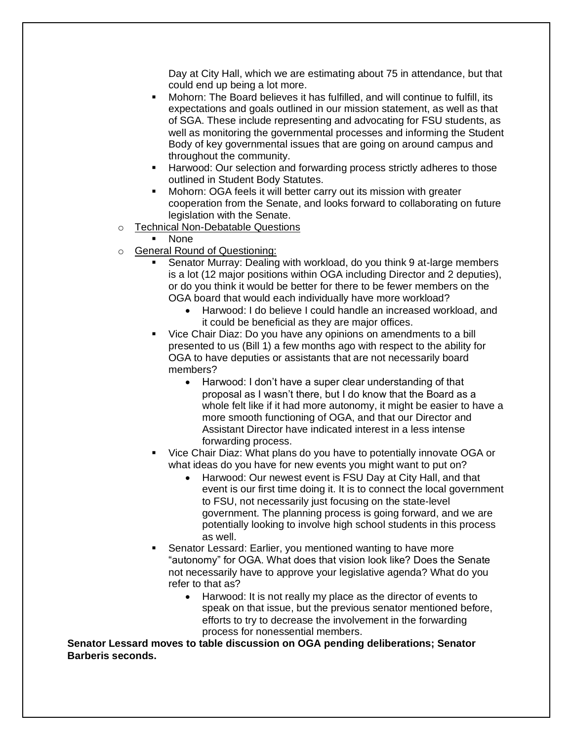Day at City Hall, which we are estimating about 75 in attendance, but that could end up being a lot more.

- Mohorn: The Board believes it has fulfilled, and will continue to fulfill, its expectations and goals outlined in our mission statement, as well as that of SGA. These include representing and advocating for FSU students, as well as monitoring the governmental processes and informing the Student Body of key governmental issues that are going on around campus and throughout the community.
- Harwood: Our selection and forwarding process strictly adheres to those outlined in Student Body Statutes.
- Mohorn: OGA feels it will better carry out its mission with greater cooperation from the Senate, and looks forward to collaborating on future legislation with the Senate.
- o Technical Non-Debatable Questions
	- **None**
- o General Round of Questioning:
	- Senator Murray: Dealing with workload, do you think 9 at-large members is a lot (12 major positions within OGA including Director and 2 deputies), or do you think it would be better for there to be fewer members on the OGA board that would each individually have more workload?
		- Harwood: I do believe I could handle an increased workload, and it could be beneficial as they are major offices.
	- Vice Chair Diaz: Do you have any opinions on amendments to a bill presented to us (Bill 1) a few months ago with respect to the ability for OGA to have deputies or assistants that are not necessarily board members?
		- Harwood: I don't have a super clear understanding of that proposal as I wasn't there, but I do know that the Board as a whole felt like if it had more autonomy, it might be easier to have a more smooth functioning of OGA, and that our Director and Assistant Director have indicated interest in a less intense forwarding process.
	- Vice Chair Diaz: What plans do you have to potentially innovate OGA or what ideas do you have for new events you might want to put on?
		- Harwood: Our newest event is FSU Day at City Hall, and that event is our first time doing it. It is to connect the local government to FSU, not necessarily just focusing on the state-level government. The planning process is going forward, and we are potentially looking to involve high school students in this process as well.
	- Senator Lessard: Earlier, you mentioned wanting to have more "autonomy" for OGA. What does that vision look like? Does the Senate not necessarily have to approve your legislative agenda? What do you refer to that as?
		- Harwood: It is not really my place as the director of events to speak on that issue, but the previous senator mentioned before, efforts to try to decrease the involvement in the forwarding process for nonessential members.

**Senator Lessard moves to table discussion on OGA pending deliberations; Senator Barberis seconds.**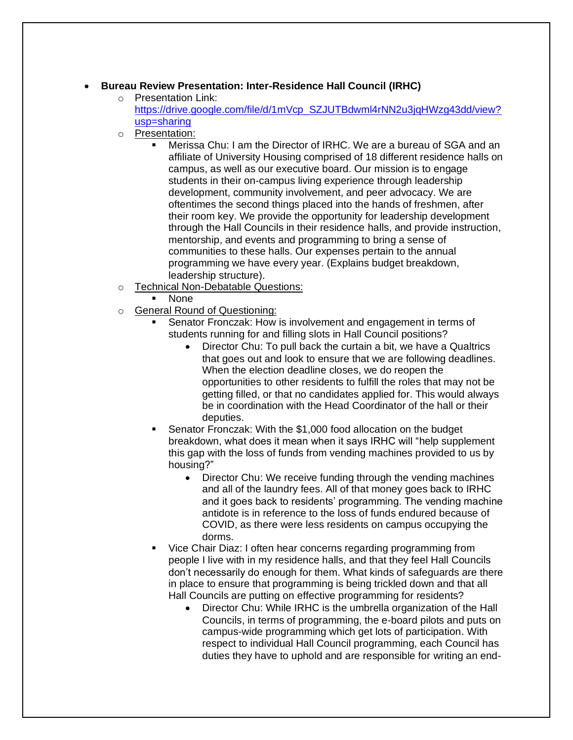### • **Bureau Review Presentation: Inter-Residence Hall Council (IRHC)**

- o Presentation Link: https://drive.google.com/file/d/1mVcp\_SZJUTBdwml4rNN2u3jqHWzq43dd/view? [usp=sharing](https://drive.google.com/file/d/1mVcp_SZJUTBdwml4rNN2u3jqHWzg43dd/view?usp=sharing)
- o Presentation:
	- Merissa Chu: I am the Director of IRHC. We are a bureau of SGA and an affiliate of University Housing comprised of 18 different residence halls on campus, as well as our executive board. Our mission is to engage students in their on-campus living experience through leadership development, community involvement, and peer advocacy. We are oftentimes the second things placed into the hands of freshmen, after their room key. We provide the opportunity for leadership development through the Hall Councils in their residence halls, and provide instruction, mentorship, and events and programming to bring a sense of communities to these halls. Our expenses pertain to the annual programming we have every year. (Explains budget breakdown, leadership structure).
- o Technical Non-Debatable Questions:
	- **None**
- o General Round of Questioning:
	- Senator Fronczak: How is involvement and engagement in terms of students running for and filling slots in Hall Council positions?
		- Director Chu: To pull back the curtain a bit, we have a Qualtrics that goes out and look to ensure that we are following deadlines. When the election deadline closes, we do reopen the opportunities to other residents to fulfill the roles that may not be getting filled, or that no candidates applied for. This would always be in coordination with the Head Coordinator of the hall or their deputies.
	- Senator Fronczak: With the \$1,000 food allocation on the budget breakdown, what does it mean when it says IRHC will "help supplement this gap with the loss of funds from vending machines provided to us by housing?"
		- Director Chu: We receive funding through the vending machines and all of the laundry fees. All of that money goes back to IRHC and it goes back to residents' programming. The vending machine antidote is in reference to the loss of funds endured because of COVID, as there were less residents on campus occupying the dorms.
	- Vice Chair Diaz: I often hear concerns regarding programming from people I live with in my residence halls, and that they feel Hall Councils don't necessarily do enough for them. What kinds of safeguards are there in place to ensure that programming is being trickled down and that all Hall Councils are putting on effective programming for residents?
		- Director Chu: While IRHC is the umbrella organization of the Hall Councils, in terms of programming, the e-board pilots and puts on campus-wide programming which get lots of participation. With respect to individual Hall Council programming, each Council has duties they have to uphold and are responsible for writing an end-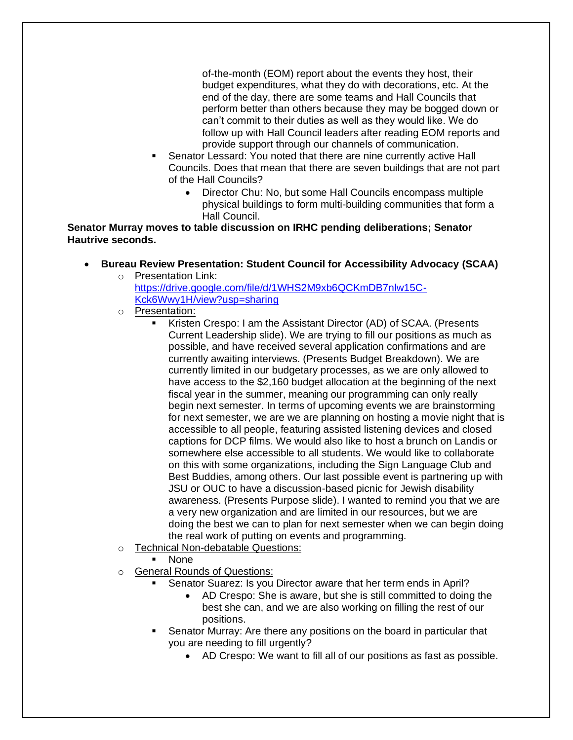of-the-month (EOM) report about the events they host, their budget expenditures, what they do with decorations, etc. At the end of the day, there are some teams and Hall Councils that perform better than others because they may be bogged down or can't commit to their duties as well as they would like. We do follow up with Hall Council leaders after reading EOM reports and provide support through our channels of communication.

- Senator Lessard: You noted that there are nine currently active Hall Councils. Does that mean that there are seven buildings that are not part of the Hall Councils?
	- Director Chu: No, but some Hall Councils encompass multiple physical buildings to form multi-building communities that form a Hall Council.

**Senator Murray moves to table discussion on IRHC pending deliberations; Senator Hautrive seconds.**

- **Bureau Review Presentation: Student Council for Accessibility Advocacy (SCAA)**
	- o Presentation Link: [https://drive.google.com/file/d/1WHS2M9xb6QCKmDB7nlw15C-](https://drive.google.com/file/d/1WHS2M9xb6QCKmDB7nlw15C-Kck6Wwy1H/view?usp=sharing)[Kck6Wwy1H/view?usp=sharing](https://drive.google.com/file/d/1WHS2M9xb6QCKmDB7nlw15C-Kck6Wwy1H/view?usp=sharing)
	- o Presentation:
		- Kristen Crespo: I am the Assistant Director (AD) of SCAA. (Presents Current Leadership slide). We are trying to fill our positions as much as possible, and have received several application confirmations and are currently awaiting interviews. (Presents Budget Breakdown). We are currently limited in our budgetary processes, as we are only allowed to have access to the \$2,160 budget allocation at the beginning of the next fiscal year in the summer, meaning our programming can only really begin next semester. In terms of upcoming events we are brainstorming for next semester, we are we are planning on hosting a movie night that is accessible to all people, featuring assisted listening devices and closed captions for DCP films. We would also like to host a brunch on Landis or somewhere else accessible to all students. We would like to collaborate on this with some organizations, including the Sign Language Club and Best Buddies, among others. Our last possible event is partnering up with JSU or OUC to have a discussion-based picnic for Jewish disability awareness. (Presents Purpose slide). I wanted to remind you that we are a very new organization and are limited in our resources, but we are doing the best we can to plan for next semester when we can begin doing the real work of putting on events and programming.
	- o Technical Non-debatable Questions:
		- **None**
	- o General Rounds of Questions:
		- Senator Suarez: Is you Director aware that her term ends in April?
			- AD Crespo: She is aware, but she is still committed to doing the best she can, and we are also working on filling the rest of our positions.
		- Senator Murray: Are there any positions on the board in particular that you are needing to fill urgently?
			- AD Crespo: We want to fill all of our positions as fast as possible.